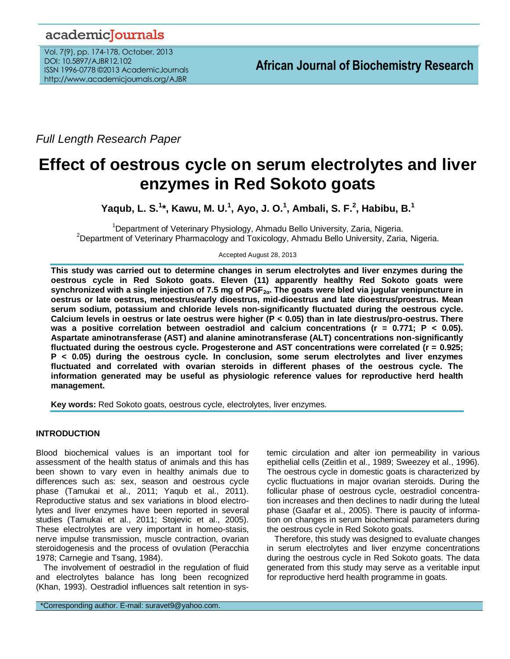# academicJournals

Vol. 7(9), pp. 174-178, October, 2013 DOI: 10.5897/AJBR12.102 ISSN 1996-0778 ©2013 AcademicJournals http://www.academicjournals.org/AJBR

*Full Length Research Paper*

# **Effect of oestrous cycle on serum electrolytes and liver enzymes in Red Sokoto goats**

**Yaqub, L. S.<sup>1</sup> \*, Kawu, M. U.<sup>1</sup> , Ayo, J. O.<sup>1</sup> , Ambali, S. F.<sup>2</sup> , Habibu, B.<sup>1</sup>**

<sup>1</sup>Department of Veterinary Physiology, Ahmadu Bello University, Zaria, Nigeria. <sup>2</sup>Department of Veterinary Pharmacology and Toxicology, Ahmadu Bello University, Zaria, Nigeria.

Accepted August 28, 2013

**This study was carried out to determine changes in serum electrolytes and liver enzymes during the oestrous cycle in Red Sokoto goats. Eleven (11) apparently healthy Red Sokoto goats were synchronized with a single injection of 7.5 mg of PGF2α. The goats were bled via jugular venipuncture in oestrus or late oestrus, metoestrus/early dioestrus, mid-dioestrus and late dioestrus/proestrus. Mean serum sodium, potassium and chloride levels non-significantly fluctuated during the oestrous cycle. Calcium levels in oestrus or late oestrus were higher (P < 0.05) than in late diestrus/pro-oestrus. There was a positive correlation between oestradiol and calcium concentrations (r = 0.771; P < 0.05). Aspartate aminotransferase (AST) and alanine aminotransferase (ALT) concentrations non-significantly fluctuated during the oestrous cycle. Progesterone and AST concentrations were correlated (r = 0.925; P < 0.05) during the oestrous cycle. In conclusion, some serum electrolytes and liver enzymes fluctuated and correlated with ovarian steroids in different phases of the oestrous cycle. The information generated may be useful as physiologic reference values for reproductive herd health management.** 

**Key words:** Red Sokoto goats, oestrous cycle, electrolytes, liver enzymes.

# **INTRODUCTION**

Blood biochemical values is an important tool for assessment of the health status of animals and this has been shown to vary even in healthy animals due to differences such as: sex, season and oestrous cycle phase (Tamukai et al., 2011; Yaqub et al., 2011). Reproductive status and sex variations in blood electrolytes and liver enzymes have been reported in several studies (Tamukai et al., 2011; Stojevic et al., 2005). These electrolytes are very important in homeo-stasis, nerve impulse transmission, muscle contraction, ovarian steroidogenesis and the process of ovulation (Peracchia 1978; Carnegie and Tsang, 1984).

The involvement of oestradiol in the regulation of fluid and electrolytes balance has long been recognized (Khan, 1993). Oestradiol influences salt retention in sys-

temic circulation and alter ion permeability in various epithelial cells (Zeitlin et al., 1989; Sweezey et al., 1996). The oestrous cycle in domestic goats is characterized by cyclic fluctuations in major ovarian steroids. During the follicular phase of oestrous cycle, oestradiol concentration increases and then declines to nadir during the luteal phase (Gaafar et al., 2005). There is paucity of information on changes in serum biochemical parameters during the oestrous cycle in Red Sokoto goats.

Therefore, this study was designed to evaluate changes in serum electrolytes and liver enzyme concentrations during the oestrous cycle in Red Sokoto goats. The data generated from this study may serve as a veritable input for reproductive herd health programme in goats.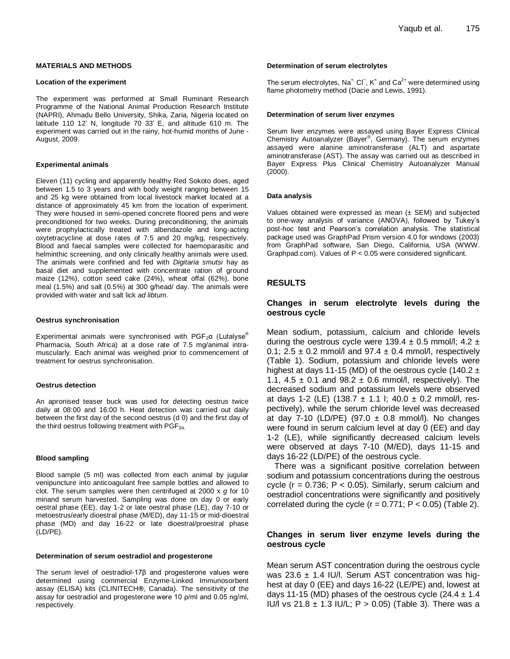#### **MATERIALS AND METHODS**

#### **Location of the experiment**

The experiment was performed at Small Ruminant Research Programme of the National Animal Production Research Institute (NAPRI), Ahmadu Bello University, Shika, Zaria, Nigeria located on latitude 110 12' N, longitude 70 33' E, and altitude 610 m. The experiment was carried out in the rainy, hot-humid months of June - August, 2009.

#### **Experimental animals**

Eleven (11) cycling and apparently healthy Red Sokoto does, aged between 1.5 to 3 years and with body weight ranging between 15 and 25 kg were obtained from local livestock market located at a distance of approximately 45 km from the location of experiment. They were housed in semi-opened concrete floored pens and were preconditioned for two weeks. During preconditioning, the animals were prophylactically treated with albendazole and long-acting oxytetracycline at dose rates of 7.5 and 20 mg/kg, respectively. Blood and faecal samples were collected for haemoparasitic and helminthic screening, and only clinically healthy animals were used. The animals were confined and fed with *Digitaria smutsi* hay as basal diet and supplemented with concentrate ration of ground maize (12%), cotton seed cake (24%), wheat offal (62%), bone meal (1.5%) and salt (0.5%) at 300 g/head/ day. The animals were provided with water and salt lick *ad libtum*.

#### **Oestrus synchronisation**

Experimental animals were synchronised with  $PGF<sub>2</sub>α$  (Lutalyse<sup>®</sup> Pharmacia, South Africa) at a dose rate of 7.5 mg/animal intramuscularly. Each animal was weighed prior to commencement of treatment for oestrus synchronisation.

#### **Oestrus detection**

An apronised teaser buck was used for detecting oestrus twice daily at 08:00 and 16:00 h. Heat detection was carried out daily between the first day of the second oestrus (d 0) and the first day of the third oestrus following treatment with  $PGF_{2\alpha}$ .

#### **Blood sampling**

Blood sample (5 ml) was collected from each animal by jugular venipuncture into anticoagulant free sample bottles and allowed to clot. The serum samples were then centrifuged at 2000 x *g* for 10 minand serum harvested. Sampling was done on day 0 or early oestral phase (EE), day 1-2 or late oestral phase (LE), day 7-10 or metoestrus/early dioestral phase (M/ED), day 11-15 or mid-dioestral phase (MD) and day 16-22 or late dioestral/proestral phase (LD/PE).

#### **Determination of serum oestradiol and progesterone**

The serum level of oestradiol-17β and progesterone values were determined using commercial Enzyme-Linked Immunosorbent assay (ELISA) kits (CLINITECH**®**, Canada). The sensitivity of the assay for oestradiol and progesterone were 10 ρ/ml and 0.05 ng/ml, respectively.

#### **Determination of serum electrolytes**

The serum electrolytes, Na<sup>+,</sup> Cl<sup>−</sup>, K<sup>+</sup> and Ca<sup>2+</sup> were determined using flame photometry method (Dacie and Lewis, 1991).

#### **Determination of serum liver enzymes**

Serum liver enzymes were assayed using Bayer Express Clinical Chemistry Autoanalyzer (Bayer® , Germany). The serum enzymes assayed were alanine aminotransferase (ALT) and aspartate aminotransferase (AST). The assay was carried out as described in Bayer Express Plus Clinical Chemistry Autoanalyzer Manual (2000).

#### **Data analysis**

Values obtained were expressed as mean  $(\pm$  SEM) and subjected to one-way analysis of variance (ANOVA), followed by Tukey's post-hoc test and Pearson's correlation analysis. The statistical package used was GraphPad Prism version 4.0 for windows (2003) from GraphPad software, San Diego, California, USA (WWW. Graphpad.com). Values of P < 0.05 were considered significant.

#### **RESULTS**

### **Changes in serum electrolyte levels during the oestrous cycle**

Mean sodium, potassium, calcium and chloride levels during the oestrous cycle were 139.4  $\pm$  0.5 mmol/l; 4.2  $\pm$ 0.1;  $2.5 \pm 0.2$  mmol/l and 97.4  $\pm$  0.4 mmol/l, respectively (Table 1). Sodium, potassium and chloride levels were highest at days 11-15 (MD) of the oestrous cycle (140.2  $\pm$ 1.1,  $4.5 \pm 0.1$  and  $98.2 \pm 0.6$  mmol/l, respectively). The decreased sodium and potassium levels were observed at days 1-2 (LE) (138.7  $\pm$  1.1 l; 40.0  $\pm$  0.2 mmol/l, respectively), while the serum chloride level was decreased at day 7-10 (LD/PE) (97.0  $\pm$  0.8 mmol/l). No changes were found in serum calcium level at day 0 (EE) and day 1-2 (LE), while significantly decreased calcium levels were observed at days 7-10 (M/ED), days 11-15 and days 16-22 (LD/PE) of the oestrous cycle.

There was a significant positive correlation between sodium and potassium concentrations during the oestrous cycle ( $r = 0.736$ ;  $P < 0.05$ ). Similarly, serum calcium and oestradiol concentrations were significantly and positively correlated during the cycle ( $r = 0.771$ ;  $P < 0.05$ ) (Table 2).

## **Changes in serum liver enzyme levels during the oestrous cycle**

Mean serum AST concentration during the oestrous cycle was 23.6  $\pm$  1.4 IU/l. Serum AST concentration was highest at day 0 (EE) and days 16-22 (LE/PE) and, lowest at days 11-15 (MD) phases of the oestrous cycle  $(24.4 \pm 1.4)$ IU/l vs 21.8  $\pm$  1.3 IU/L; P > 0.05) (Table 3). There was a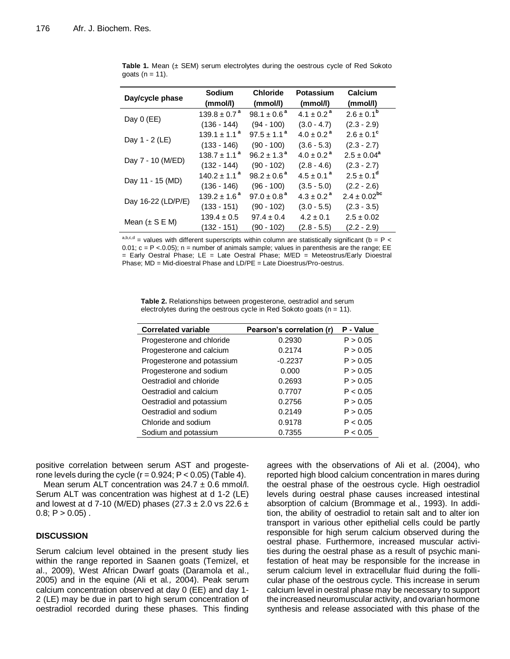| Day/cycle phase    | <b>Sodium</b><br>(mmol/l)  | <b>Chloride</b><br>(mmol/l) | Potassium<br>(mmol/l)      | Calcium<br>(mmol/l)   |
|--------------------|----------------------------|-----------------------------|----------------------------|-----------------------|
| Day $0$ (EE)       | $139.8 \pm 0.7^{\text{a}}$ | $98.1 \pm 0.6^a$            | $4.1 \pm 0.2^{\text{a}}$   | $2.6 \pm 0.1^{\rm b}$ |
|                    | $(136 - 144)$              | $(94 - 100)$                | $(3.0 - 4.7)$              | $(2.3 - 2.9)$         |
| Day 1 - 2 (LE)     | $139.1 \pm 1.1^a$          | $97.5 \pm 1.1^{\text{a}}$   | $4.0 \pm 0.2$ <sup>a</sup> | $2.6 \pm 0.1^c$       |
|                    | $(133 - 146)$              | $(90 - 100)$                | $(3.6 - 5.3)$              | $(2.3 - 2.7)$         |
| Day 7 - 10 (M/ED)  | $138.7 \pm 1.1^a$          | $96.2 \pm 1.3^{\text{a}}$   | $4.0 \pm 0.2$ <sup>a</sup> | $2.5 \pm 0.04^a$      |
|                    | $(132 - 144)$              | $(90 - 102)$                | $(2.8 - 4.6)$              | $(2.3 - 2.7)$         |
| Day 11 - 15 (MD)   | $140.2 \pm 1.1^{\text{a}}$ | $98.2 \pm 0.6^{\text{a}}$   | $4.5 \pm 0.1^a$            | $2.5 \pm 0.1^d$       |
|                    | $(136 - 146)$              | $(96 - 100)$                | $(3.5 - 5.0)$              | $(2.2 - 2.6)$         |
| Day 16-22 (LD/P/E) | $139.2 \pm 1.6^{\text{a}}$ | $97.0 \pm 0.8^{\text{a}}$   | $4.3 \pm 0.2^{\text{a}}$   | $2.4 \pm 0.02^{bc}$   |
|                    | $(133 - 151)$              | $(90 - 102)$                | $(3.0 - 5.5)$              | $(2.3 - 3.5)$         |
| Mean $(\pm S E M)$ | $139.4 \pm 0.5$            | $97.4 \pm 0.4$              | $4.2 \pm 0.1$              | $2.5 \pm 0.02$        |
|                    | (132 - 151)                | (90 - 102)                  | $(2.8 - 5.5)$              | $(2.2 - 2.9)$         |

**Table 1.** Mean (± SEM) serum electrolytes during the oestrous cycle of Red Sokoto goats  $(n = 11)$ .

a,b,c,d = values with different superscripts within column are statistically significant (b =  $P_$  = 0.01;  $c = P < 0.05$ ); n = number of animals sample; values in parenthesis are the range; EE  $=$  Early Oestral Phase; LE  $=$  Late Oestral Phase; M/ED  $=$  Meteostrus/Early Dioestral Phase; MD = Mid-dioestral Phase and LD/PE = Late Dioestrus/Pro-oestrus.

**Table 2.** Relationships between progesterone, oestradiol and serum electrolytes during the oestrous cycle in Red Sokoto goats ( $n = 11$ ).

| <b>Correlated variable</b> | Pearson's correlation (r) | P - Value |
|----------------------------|---------------------------|-----------|
| Progesterone and chloride  | 0.2930                    | P > 0.05  |
| Progesterone and calcium   | 0.2174                    | P > 0.05  |
| Progesterone and potassium | $-0.2237$                 | P > 0.05  |
| Progesterone and sodium    | 0.000                     | P > 0.05  |
| Oestradiol and chloride    | 0.2693                    | P > 0.05  |
| Oestradiol and calcium     | 0.7707                    | P < 0.05  |
| Oestradiol and potassium   | 0.2756                    | P > 0.05  |
| Oestradiol and sodium      | 0.2149                    | P > 0.05  |
| Chloride and sodium        | 0.9178                    | P < 0.05  |
| Sodium and potassium       | 0.7355                    | P < 0.05  |

positive correlation between serum AST and progesterone levels during the cycle ( $r = 0.924$ ;  $P < 0.05$ ) (Table 4).

Mean serum ALT concentration was  $24.7 \pm 0.6$  mmol/l. Serum ALT was concentration was highest at d 1-2 (LE) and lowest at d 7-10 (M/ED) phases (27.3  $\pm$  2.0 vs 22.6  $\pm$  $0.8; P > 0.05$ ).

# **DISCUSSION**

Serum calcium level obtained in the present study lies within the range reported in Saanen goats (Temizel, et al., 2009), West African Dwarf goats (Daramola et al., 2005) and in the equine (Ali et al*.,* 2004). Peak serum calcium concentration observed at day 0 (EE) and day 1- 2 (LE) may be due in part to high serum concentration of oestradiol recorded during these phases. This finding agrees with the observations of Ali et al. (2004), who reported high blood calcium concentration in mares during the oestral phase of the oestrous cycle. High oestradiol levels during oestral phase causes increased intestinal absorption of calcium (Brommage et al*.*, 1993). In addition, the ability of oestradiol to retain salt and to alter ion transport in various other epithelial cells could be partly responsible for high serum calcium observed during the oestral phase. Furthermore, increased muscular activities during the oestral phase as a result of psychic manifestation of heat may be responsible for the increase in serum calcium level in extracellular fluid during the follicular phase of the oestrous cycle. This increase in serum calcium level in oestral phase may be necessary to support the increased neuromuscular activity, and ovarian hormone synthesis and release associated with this phase of the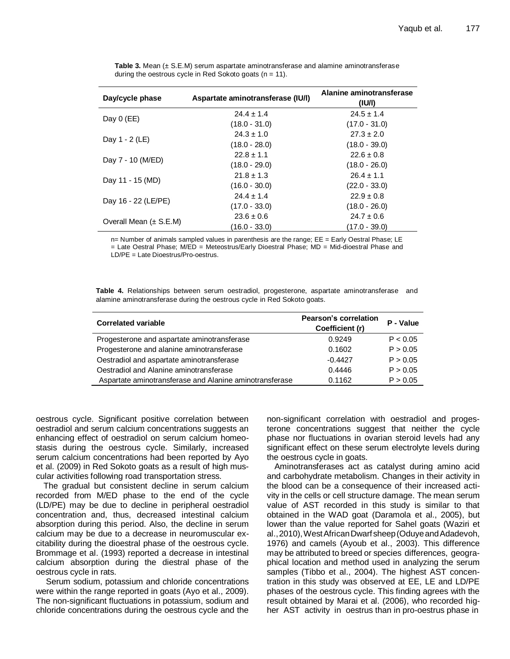| Day/cycle phase            | Aspartate aminotransferase (IU/I) | Alanine aminotransferase<br>( U/ ) |
|----------------------------|-----------------------------------|------------------------------------|
|                            | $24.4 \pm 1.4$                    | $24.5 \pm 1.4$                     |
| Day $0$ (EE)               | $(18.0 - 31.0)$                   | $(17.0 - 31.0)$                    |
| Day 1 - 2 (LE)             | $24.3 \pm 1.0$                    | $27.3 \pm 2.0$                     |
|                            | $(18.0 - 28.0)$                   | $(18.0 - 39.0)$                    |
| Day 7 - 10 (M/ED)          | $22.8 \pm 1.1$                    | $22.6 \pm 0.8$                     |
|                            | $(18.0 - 29.0)$                   | $(18.0 - 26.0)$                    |
| Day 11 - 15 (MD)           | $21.8 \pm 1.3$                    | $26.4 \pm 1.1$                     |
|                            | $(16.0 - 30.0)$                   | $(22.0 - 33.0)$                    |
| Day 16 - 22 (LE/PE)        | $24.4 \pm 1.4$                    | $22.9 \pm 0.8$                     |
|                            | $(17.0 - 33.0)$                   | $(18.0 - 26.0)$                    |
| Overall Mean $(\pm$ S.E.M) | $23.6 \pm 0.6$                    | $24.7 \pm 0.6$                     |
|                            | (16.0 - 33.0)                     | $(17.0 - 39.0)$                    |

**Table 3.** Mean (± S.E.M) serum aspartate aminotransferase and alamine aminotransferase during the oestrous cycle in Red Sokoto goats  $(n = 11)$ .

n= Number of animals sampled values in parenthesis are the range; EE = Early Oestral Phase; LE = Late Oestral Phase; M/ED = Meteostrus/Early Dioestral Phase; MD = Mid-dioestral Phase and LD/PE = Late Dioestrus/Pro-oestrus.

**Table 4.** Relationships between serum oestradiol, progesterone, aspartate aminotransferase and alamine aminotransferase during the oestrous cycle in Red Sokoto goats.

| <b>Correlated variable</b>                              | <b>Pearson's correlation</b><br>Coefficient (r) | P - Value |
|---------------------------------------------------------|-------------------------------------------------|-----------|
| Progesterone and aspartate aminotransferase             | 0.9249                                          | P < 0.05  |
| Progesterone and alanine aminotransferase               | 0.1602                                          | P > 0.05  |
| Oestradiol and aspartate aminotransferase               | $-0.4427$                                       | P > 0.05  |
| Oestradiol and Alanine aminotransferase                 | 0.4446                                          | P > 0.05  |
| Aspartate aminotransferase and Alanine aminotransferase | 0.1162                                          | P > 0.05  |

oestrous cycle. Significant positive correlation between oestradiol and serum calcium concentrations suggests an enhancing effect of oestradiol on serum calcium homeostasis during the oestrous cycle. Similarly, increased serum calcium concentrations had been reported by Ayo et al. (2009) in Red Sokoto goats as a result of high muscular activities following road transportation stress.

The gradual but consistent decline in serum calcium recorded from M/ED phase to the end of the cycle (LD/PE) may be due to decline in peripheral oestradiol concentration and, thus, decreased intestinal calcium absorption during this period. Also, the decline in serum calcium may be due to a decrease in neuromuscular excitability during the dioestral phase of the oestrous cycle. Brommage et al. (1993) reported a decrease in intestinal calcium absorption during the diestral phase of the oestrous cycle in rats.

Serum sodium, potassium and chloride concentrations were within the range reported in goats (Ayo et al., 2009). The non-significant fluctuations in potassium, sodium and chloride concentrations during the oestrous cycle and the non-significant correlation with oestradiol and progesterone concentrations suggest that neither the cycle phase nor fluctuations in ovarian steroid levels had any significant effect on these serum electrolyte levels during the oestrous cycle in goats.

Aminotransferases act as catalyst during amino acid and carbohydrate metabolism. Changes in their activity in the blood can be a consequence of their increased activity in the cells or cell structure damage. The mean serum value of AST recorded in this study is similar to that obtained in the WAD goat (Daramola et al., 2005), but lower than the value reported for Sahel goats (Waziri et al.,2010),WestAfricanDwarf sheep(OduyeandAdadevoh, 1976) and camels (Ayoub et al., 2003). This difference may be attributed to breed or species differences, geographical location and method used in analyzing the serum samples (Tibbo et al., 2004). The highest AST concentration in this study was observed at EE, LE and LD/PE phases of the oestrous cycle. This finding agrees with the result obtained by Marai et al. (2006), who recorded higher AST activity in oestrus than in pro-oestrus phase in